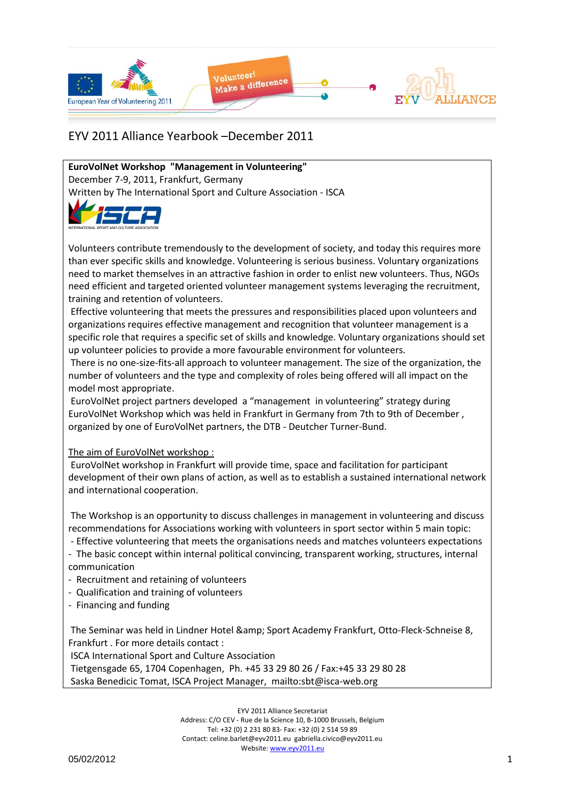

**EuroVolNet Workshop "Management in Volunteering"** December 7-9, 2011, Frankfurt, Germany Written by The International Sport and Culture Association - ISCA



Volunteers contribute tremendously to the development of society, and today this requires more than ever specific skills and knowledge. Volunteering is serious business. Voluntary organizations need to market themselves in an attractive fashion in order to enlist new volunteers. Thus, NGOs need efficient and targeted oriented volunteer management systems leveraging the recruitment, training and retention of volunteers.

Effective volunteering that meets the pressures and responsibilities placed upon volunteers and organizations requires effective management and recognition that volunteer management is a specific role that requires a specific set of skills and knowledge. Voluntary organizations should set up volunteer policies to provide a more favourable environment for volunteers.

There is no one-size-fits-all approach to volunteer management. The size of the organization, the number of volunteers and the type and complexity of roles being offered will all impact on the model most appropriate.

EuroVolNet project partners developed a "management in volunteering" strategy during EuroVolNet Workshop which was held in Frankfurt in Germany from 7th to 9th of December , organized by one of EuroVolNet partners, the DTB - Deutcher Turner-Bund.

### The aim of EuroVolNet workshop :

EuroVolNet workshop in Frankfurt will provide time, space and facilitation for participant development of their own plans of action, as well as to establish a sustained international network and international cooperation.

The Workshop is an opportunity to discuss challenges in management in volunteering and discuss recommendations for Associations working with volunteers in sport sector within 5 main topic:

- Effective volunteering that meets the organisations needs and matches volunteers expectations - The basic concept within internal political convincing, transparent working, structures, internal

- communication
- Recruitment and retaining of volunteers
- Qualification and training of volunteers
- Financing and funding

The Seminar was held in Lindner Hotel & amp; Sport Academy Frankfurt, Otto-Fleck-Schneise 8, Frankfurt . For more details contact :

ISCA International Sport and Culture Association

Tietgensgade 65, 1704 Copenhagen, Ph. +45 33 29 80 26 / Fax:+45 33 29 80 28 Saska Benedicic Tomat, ISCA Project Manager, mailto:sbt@isca-web.org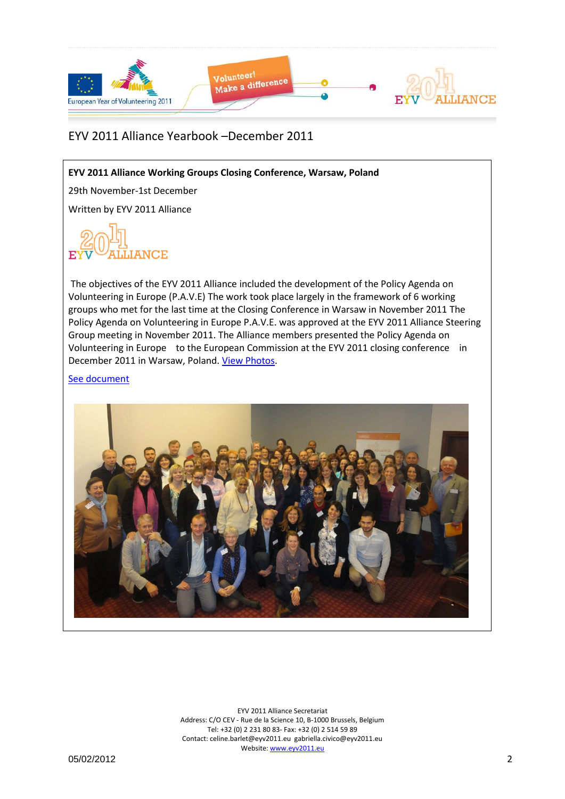

**EYV 2011 Alliance Working Groups Closing Conference, Warsaw, Poland**

29th November-1st December

Written by EYV 2011 Alliance



The objectives of the EYV 2011 Alliance included the development of the Policy Agenda on Volunteering in Europe (P.A.V.E) The work took place largely in the framework of 6 working groups who met for the last time at the Closing Conference in Warsaw in November 2011 The Policy Agenda on Volunteering in Europe P.A.V.E. was approved at the EYV 2011 Alliance Steering Group meeting in November 2011. The Alliance members presented the Policy Agenda on Volunteering in Europe to the European Commission at the EYV 2011 closing conference in December 2011 in Warsaw, Poland. [View Photos.](http://www.facebook.com/media/set/?set=a.321588297853308.85611.212863205392485&type=3)

[See document](file:///C:/Users/alliance1/Desktop/Alliance%20Docs/European%20Year%20of%20Volunteering%202011_Secretariat/Website/Website/Yearbook/Pendrive_withhyperlinks2/EYV2011Alliance_Yearbook_12_2011/Yearbook_Dec2011_Docs/EYV2011Alliance_WG_ClosingConference_FinalReport.pdf)

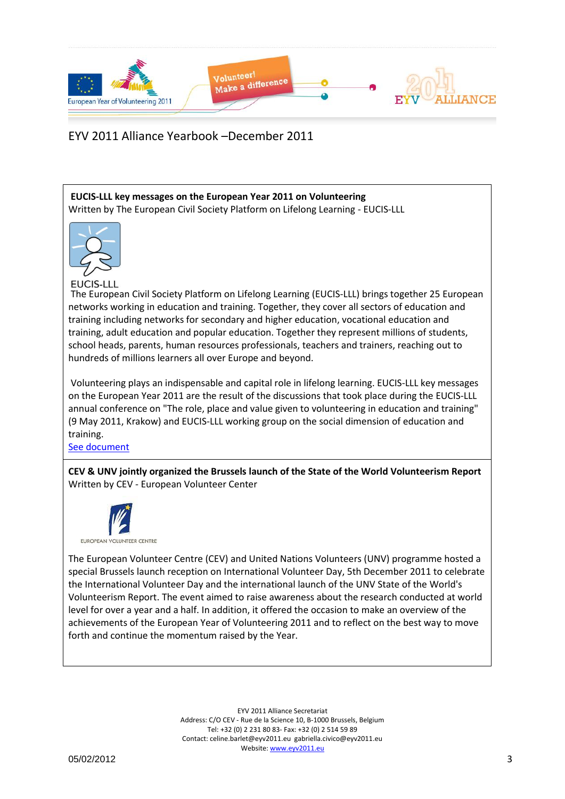

**EUCIS-LLL key messages on the European Year 2011 on Volunteering** Written by The European Civil Society Platform on Lifelong Learning - EUCIS-LLL



**EUCIS-LLL** 

The European Civil Society Platform on Lifelong Learning (EUCIS-LLL) brings together 25 European networks working in education and training. Together, they cover all sectors of education and training including networks for secondary and higher education, vocational education and training, adult education and popular education. Together they represent millions of students, school heads, parents, human resources professionals, teachers and trainers, reaching out to hundreds of millions learners all over Europe and beyond.

Volunteering plays an indispensable and capital role in lifelong learning. EUCIS-LLL key messages on the European Year 2011 are the result of the discussions that took place during the EUCIS-LLL annual conference on "The role, place and value given to volunteering in education and training" (9 May 2011, Krakow) and EUCIS-LLL working group on the social dimension of education and training.

[See document](file:///C:/Users/alliance1/Desktop/Alliance%20Docs/European%20Year%20of%20Volunteering%202011_Secretariat/Website/Website/Yearbook/Pendrive_withhyperlinks2/EYV2011Alliance_Yearbook_12_2011/Yearbook_Dec2011_Docs/EUCIS_LLL_key_messages_Volunteering_EUCIS-LLL.pdf)

**CEV & UNV jointly organized the Brussels launch of the State of the World Volunteerism Report** Written by CEV - European Volunteer Center



The European Volunteer Centre (CEV) and United Nations Volunteers (UNV) programme hosted a special Brussels launch reception on International Volunteer Day, 5th December 2011 to celebrate the International Volunteer Day and the international launch of the UNV State of the World's Volunteerism Report. The event aimed to raise awareness about the research conducted at world level for over a year and a half. In addition, it offered the occasion to make an overview of the achievements of the European Year of Volunteering 2011 and to reflect on the best way to move forth and continue the momentum raised by the Year.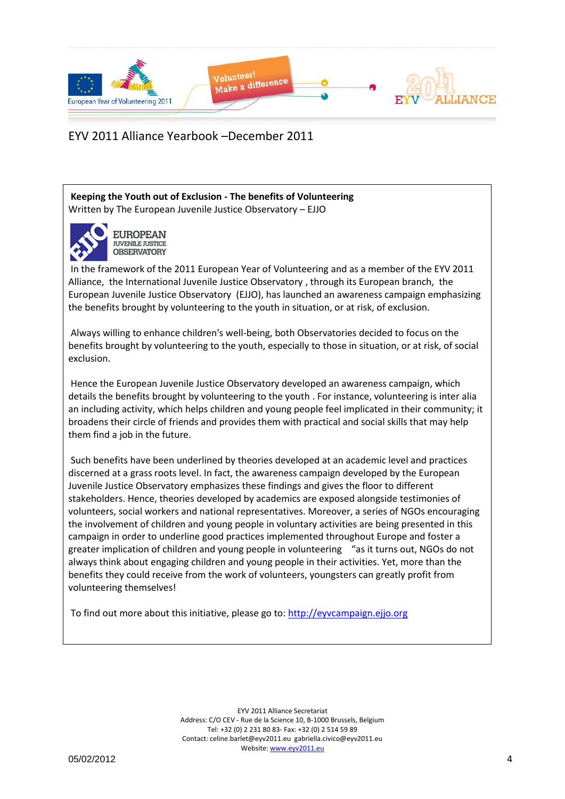

**Keeping the Youth out of Exclusion - The benefits of Volunteering** Written by The European Juvenile Justice Observatory – EJJO



**EUROPEAN JUVENILE JUSTICE OBSERVATORY** 

In the framework of the 2011 European Year of Volunteering and as a member of the EYV 2011 Alliance, the International Juvenile Justice Observatory , through its European branch, the European Juvenile Justice Observatory (EJJO), has launched an awareness campaign emphasizing the benefits brought by volunteering to the youth in situation, or at risk, of exclusion.

Always willing to enhance children's well-being, both Observatories decided to focus on the benefits brought by volunteering to the youth, especially to those in situation, or at risk, of social exclusion.

Hence the European Juvenile Justice Observatory developed an awareness campaign, which details the benefits brought by volunteering to the youth . For instance, volunteering is inter alia an including activity, which helps children and young people feel implicated in their community; it broadens their circle of friends and provides them with practical and social skills that may help them find a job in the future.

Such benefits have been underlined by theories developed at an academic level and practices discerned at a grass roots level. In fact, the awareness campaign developed by the European Juvenile Justice Observatory emphasizes these findings and gives the floor to different stakeholders. Hence, theories developed by academics are exposed alongside testimonies of volunteers, social workers and national representatives. Moreover, a series of NGOs encouraging the involvement of children and young people in voluntary activities are being presented in this campaign in order to underline good practices implemented throughout Europe and foster a greater implication of children and young people in volunteering "as it turns out, NGOs do not always think about engaging children and young people in their activities. Yet, more than the benefits they could receive from the work of volunteers, youngsters can greatly profit from volunteering themselves!

To find out more about this initiative, please go to[: http://eyvcampaign.ejjo.org](http://eyvcampaign.ejjo.org/)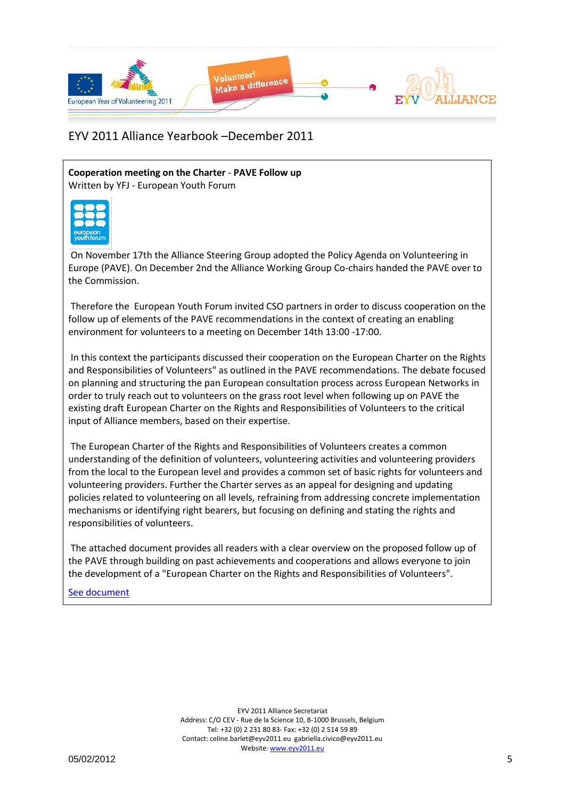

**Cooperation meeting on the Charter** - **PAVE Follow up** Written by YFJ - European Youth Forum



On November 17th the Alliance Steering Group adopted the Policy Agenda on Volunteering in Europe (PAVE). On December 2nd the Alliance Working Group Co-chairs handed the PAVE over to the Commission.

Therefore the European Youth Forum invited CSO partners in order to discuss cooperation on the follow up of elements of the PAVE recommendations in the context of creating an enabling environment for volunteers to a meeting on December 14th 13:00 -17:00.

In this context the participants discussed their cooperation on the European Charter on the Rights and Responsibilities of Volunteers" as outlined in the PAVE recommendations. The debate focused on planning and structuring the pan European consultation process across European Networks in order to truly reach out to volunteers on the grass root level when following up on PAVE the existing draft European Charter on the Rights and Responsibilities of Volunteers to the critical input of Alliance members, based on their expertise.

The European Charter of the Rights and Responsibilities of Volunteers creates a common understanding of the definition of volunteers, volunteering activities and volunteering providers from the local to the European level and provides a common set of basic rights for volunteers and volunteering providers. Further the Charter serves as an appeal for designing and updating policies related to volunteering on all levels, refraining from addressing concrete implementation mechanisms or identifying right bearers, but focusing on defining and stating the rights and responsibilities of volunteers.

The attached document provides all readers with a clear overview on the proposed follow up of the PAVE through building on past achievements and cooperations and allows everyone to join the development of a "European Charter on the Rights and Responsibilities of Volunteers".

### [See document](file:///C:/Users/alliance1/Desktop/Alliance%20Docs/European%20Year%20of%20Volunteering%202011_Secretariat/Website/Website/Yearbook/Pendrive_withhyperlinks2/EYV2011Alliance_Yearbook_12_2011/Yearbook_Dec2011_Docs/1066_11_PAVE_implementation_Charter_backgroundinfo_YFJ.pdf)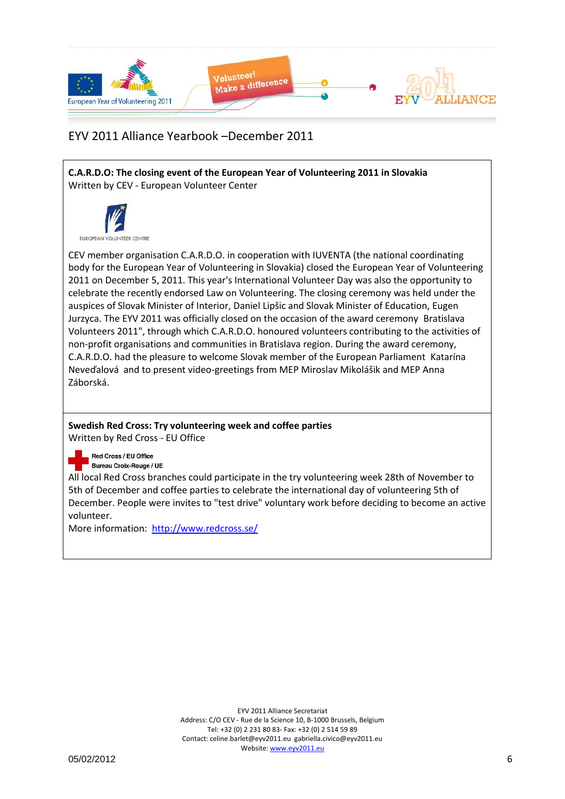

**C.A.R.D.O: The closing event of the European Year of Volunteering 2011 in Slovakia** Written by CEV - European Volunteer Center



CEV member organisation C.A.R.D.O. in cooperation with IUVENTA (the national coordinating body for the European Year of Volunteering in Slovakia) closed the European Year of Volunteering 2011 on December 5, 2011. This year's International Volunteer Day was also the opportunity to celebrate the recently endorsed Law on Volunteering. The closing ceremony was held under the auspices of Slovak Minister of Interior, Daniel Lipšic and Slovak Minister of Education, Eugen Jurzyca. The EYV 2011 was officially closed on the occasion of the award ceremony Bratislava Volunteers 2011", through which C.A.R.D.O. honoured volunteers contributing to the activities of non-profit organisations and communities in Bratislava region. During the award ceremony, C.A.R.D.O. had the pleasure to welcome Slovak member of the European Parliament Katarína Neveďalová and to present video-greetings from MEP Miroslav Mikolášik and MEP Anna Záborská.

# **Swedish Red Cross: Try volunteering week and coffee parties**

Written by Red Cross - EU Office

#### Red Cross / EU Office **Bureau Croix-Rouge / UE**

All local Red Cross branches could participate in the try volunteering week 28th of November to 5th of December and coffee parties to celebrate the international day of volunteering 5th of December. People were invites to "test drive" voluntary work before deciding to become an active volunteer.

More information: <http://www.redcross.se/>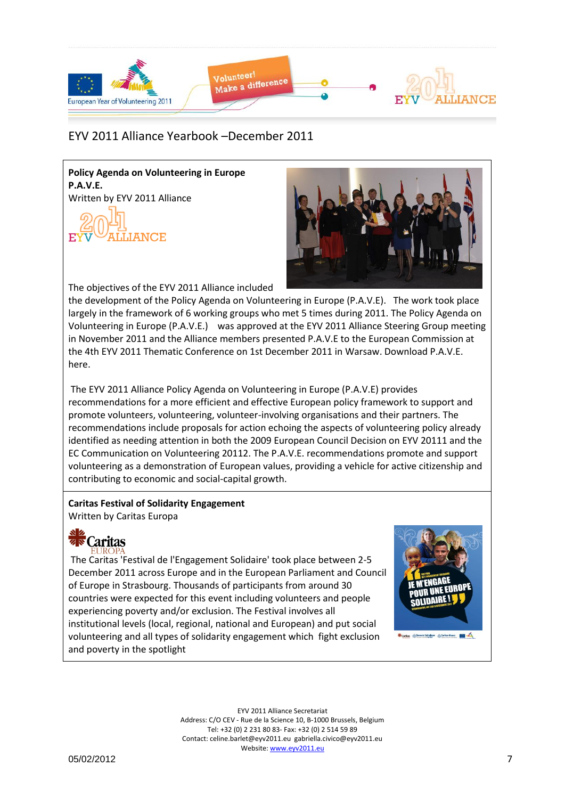

**Policy Agenda on Volunteering in Europe P.A.V.E.** Written by EYV 2011 Alliance





The objectives of the EYV 2011 Alliance included

the development of the Policy Agenda on Volunteering in Europe (P.A.V.E). The work took place largely in the framework of 6 working groups who met 5 times during 2011. The Policy Agenda on Volunteering in Europe (P.A.V.E.) was approved at the EYV 2011 Alliance Steering Group meeting in November 2011 and the Alliance members presented P.A.V.E to the European Commission at the 4th EYV 2011 Thematic Conference on 1st December 2011 in Warsaw. Download P.A.V.E. here.

The EYV 2011 Alliance Policy Agenda on Volunteering in Europe (P.A.V.E) provides recommendations for a more efficient and effective European policy framework to support and promote volunteers, volunteering, volunteer-involving organisations and their partners. The recommendations include proposals for action echoing the aspects of volunteering policy already identified as needing attention in both the 2009 European Council Decision on EYV 20111 and the EC Communication on Volunteering 20112. The P.A.V.E. recommendations promote and support volunteering as a demonstration of European values, providing a vehicle for active citizenship and contributing to economic and social-capital growth.

### **Caritas Festival of Solidarity Engagement** Written by Caritas Europa

Caritas

The Caritas 'Festival de l'Engagement Solidaire' took place between 2-5 December 2011 across Europe and in the European Parliament and Council of Europe in Strasbourg. Thousands of participants from around 30 countries were expected for this event including volunteers and people experiencing poverty and/or exclusion. The Festival involves all institutional levels (local, regional, national and European) and put social volunteering and all types of solidarity engagement which fight exclusion and poverty in the spotlight